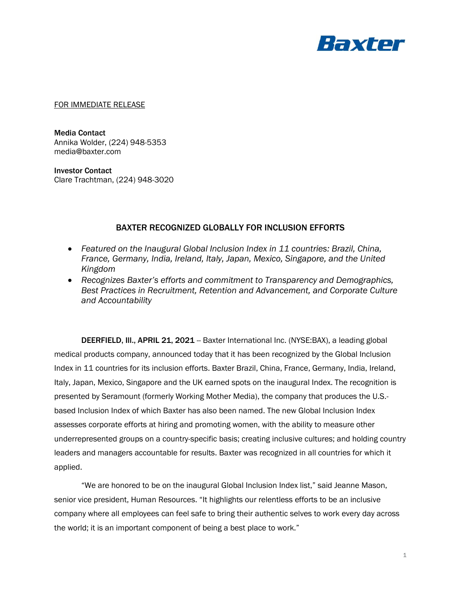

FOR IMMEDIATE RELEASE

Media Contact Annika Wolder, (224) 948-5353 media@baxter.com

Investor Contact Clare Trachtman, (224) 948-3020

## BAXTER RECOGNIZED GLOBALLY FOR INCLUSION EFFORTS

- *Featured on the Inaugural Global Inclusion Index in 11 countries: Brazil, China, France, Germany, India, Ireland, Italy, Japan, Mexico, Singapore, and the United Kingdom*
- *Recognizes Baxter's efforts and commitment to Transparency and Demographics, Best Practices in Recruitment, Retention and Advancement, and Corporate Culture and Accountability*

DEERFIELD, III., APRIL 21, 2021 -- Baxter International Inc. (NYSE:BAX), a leading global medical products company, announced today that it has been recognized by the Global Inclusion Index in 11 countries for its inclusion efforts. Baxter Brazil, China, France, Germany, India, Ireland, Italy, Japan, Mexico, Singapore and the UK earned spots on the inaugural Index. The recognition is presented by Seramount (formerly Working Mother Media), the company that produces the U.S. based Inclusion Index of which Baxter has also been named. The new Global Inclusion Index assesses corporate efforts at hiring and promoting women, with the ability to measure other underrepresented groups on a country-specific basis; creating inclusive cultures; and holding country leaders and managers accountable for results. Baxter was recognized in all countries for which it applied.

"We are honored to be on the inaugural Global Inclusion Index list," said Jeanne Mason, senior vice president, Human Resources. "It highlights our relentless efforts to be an inclusive company where all employees can feel safe to bring their authentic selves to work every day across the world; it is an important component of being a best place to work."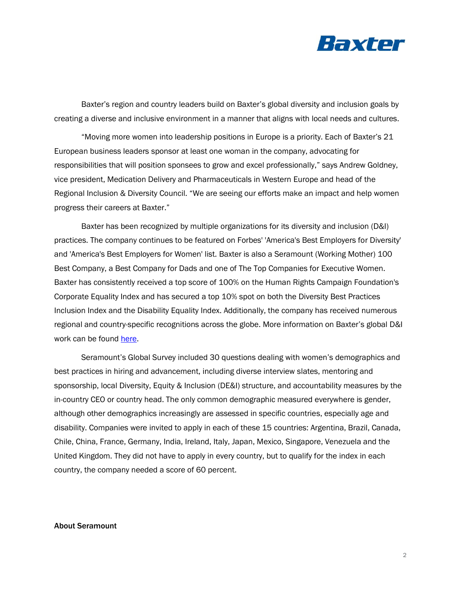

Baxter's region and country leaders build on Baxter's global diversity and inclusion goals by creating a diverse and inclusive environment in a manner that aligns with local needs and cultures.

"Moving more women into leadership positions in Europe is a priority. Each of Baxter's 21 European business leaders sponsor at least one woman in the company, advocating for responsibilities that will position sponsees to grow and excel professionally," says Andrew Goldney, vice president, Medication Delivery and Pharmaceuticals in Western Europe and head of the Regional Inclusion & Diversity Council. "We are seeing our efforts make an impact and help women progress their careers at Baxter."

Baxter has been recognized by multiple organizations for its diversity and inclusion (D&I) practices. The company continues to be featured on Forbes' 'America's Best Employers for Diversity' and 'America's Best Employers for Women' list. Baxter is also a Seramount (Working Mother) 100 Best Company, a Best Company for Dads and one of The Top Companies for Executive Women. Baxter has consistently received a top score of 100% on the Human Rights Campaign Foundation's Corporate Equality Index and has secured a top 10% spot on both the Diversity Best Practices Inclusion Index and the Disability Equality Index. Additionally, the company has received numerous regional and country-specific recognitions across the globe. More information on Baxter's global D&I work can be found [here.](https://www.baxter.com/careers/inclusion-diversity)

Seramount's Global Survey included 30 questions dealing with women's demographics and best practices in hiring and advancement, including diverse interview slates, mentoring and sponsorship, local Diversity, Equity & Inclusion (DE&I) structure, and accountability measures by the in-country CEO or country head. The only common demographic measured everywhere is gender, although other demographics increasingly are assessed in specific countries, especially age and disability. Companies were invited to apply in each of these 15 countries: Argentina, Brazil, Canada, Chile, China, France, Germany, India, Ireland, Italy, Japan, Mexico, Singapore, Venezuela and the United Kingdom. They did not have to apply in every country, but to qualify for the index in each country, the company needed a score of 60 percent.

## About Seramount